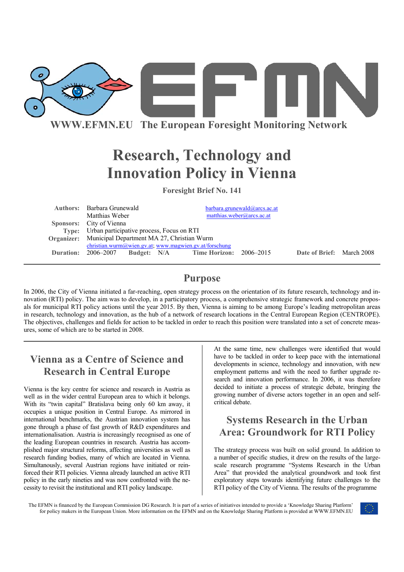

**WWW.EFMN.EU The European Foresight Monitoring Network**

# **Research, Technology and Innovation Policy in Vienna**

**Foresight Brief No. 141** 

| Authors: Barbara Grunewald                               | barbara.grunewald@arcs.ac.at |                           |  |
|----------------------------------------------------------|------------------------------|---------------------------|--|
| Matthias Weber                                           | matthias.weber@arcs.ac.at    |                           |  |
| Sponsors: City of Vienna                                 |                              |                           |  |
| Type: Urban participative process, Focus on RTI          |                              |                           |  |
| Organizer: Municipal Department MA 27, Christian Wurm    |                              |                           |  |
| $christian.wurm@wien.gv.at, www.magwien.gv.at/forschung$ |                              |                           |  |
| Duration: 2006–2007 Budget: N/A Time Horizon: 2006–2015  |                              | Date of Brief: March 2008 |  |
|                                                          |                              |                           |  |

# **Purpose**

In 2006, the City of Vienna initiated a far-reaching, open strategy process on the orientation of its future research, technology and innovation (RTI) policy. The aim was to develop, in a participatory process, a comprehensive strategic framework and concrete proposals for municipal RTI policy actions until the year 2015. By then, Vienna is aiming to be among Europe's leading metropolitan areas in research, technology and innovation, as the hub of a network of research locations in the Central European Region (CENTROPE). The objectives, challenges and fields for action to be tackled in order to reach this position were translated into a set of concrete measures, some of which are to be started in 2008.

# **Vienna as a Centre of Science and Research in Central Europe**

Vienna is the key centre for science and research in Austria as well as in the wider central European area to which it belongs. With its "twin capital" Bratislava being only 60 km away, it occupies a unique position in Central Europe. As mirrored in international benchmarks, the Austrian innovation system has gone through a phase of fast growth of R&D expenditures and internationalisation. Austria is increasingly recognised as one of the leading European countries in research. Austria has accomplished major structural reforms, affecting universities as well as research funding bodies, many of which are located in Vienna. Simultanously, several Austrian regions have initiated or reinforced their RTI policies. Vienna already launched an active RTI policy in the early nineties and was now confronted with the necessity to revisit the institutional and RTI policy landscape.

At the same time, new challenges were identified that would have to be tackled in order to keep pace with the international developments in science, technology and innovation, with new employment patterns and with the need to further upgrade research and innovation performance. In 2006, it was therefore decided to initiate a process of strategic debate, bringing the growing number of diverse actors together in an open and selfcritical debate.

# **Systems Research in the Urban Area: Groundwork for RTI Policy**

The strategy process was built on solid ground. In addition to a number of specific studies, it drew on the results of the largescale research programme "Systems Research in the Urban Area" that provided the analytical groundwork and took first exploratory steps towards identifying future challenges to the RTI policy of the City of Vienna. The results of the programme

The EFMN is financed by the European Commission DG Research. It is part of a series of initiatives intended to provide a 'Knowledge Sharing Platform' for policy makers in the European Union. More information on the EFMN and on the Knowledge Sharing Platform is provided at WWW.EFMN.EU

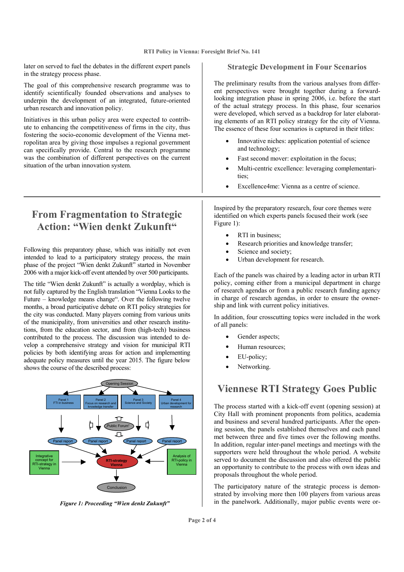later on served to fuel the debates in the different expert panels in the strategy process phase.

The goal of this comprehensive research programme was to identify scientifically founded observations and analyses to underpin the development of an integrated, future-oriented

Initiatives in this urban policy area were expected to contribute to enhancing the competitiveness of firms in the city, thus fostering the socio-economic development of the Vienna metropolitan area by giving those impulses a regional government can specifically provide. Central to the research programme was the combination of different perspectives on the current

urban research and innovation policy.

situation of the urban innovation system.

#### **Strategic Development in Four Scenarios**

The preliminary results from the various analyses from different perspectives were brought together during a forwardlooking integration phase in spring 2006, i.e. before the start of the actual strategy process. In this phase, four scenarios were developed, which served as a backdrop for later elaborating elements of an RTI policy strategy for the city of Vienna. The essence of these four scenarios is captured in their titles:

- Innovative niches: application potential of science and technology;
- Fast second mover: exploitation in the focus;
- Multi-centric excellence: leveraging complementarities;
- Excellence4me: Vienna as a centre of science.

**From Fragmentation to Strategic Action: "Wien denkt Zukunft"** 

Following this preparatory phase, which was initially not even intended to lead to a participatory strategy process, the main phase of the project "Wien denkt Zukunft" started in November 2006 with a major kick-off event attended by over 500 participants.

The title "Wien denkt Zukunft" is actually a wordplay, which is not fully captured by the English translation "Vienna Looks to the Future – knowledge means change". Over the following twelve months, a broad participative debate on RTI policy strategies for the city was conducted. Many players coming from various units of the municipality, from universities and other research institutions, from the education sector, and from (high-tech) business contributed to the process. The discussion was intended to develop a comprehensive strategy and vision for municipal RTI policies by both identifying areas for action and implementing adequate policy measures until the year 2015. The figure below shows the course of the described process:



 *Figure 1: Proceeding "Wien denkt Zukunft"* 

Inspired by the preparatory research, four core themes were identified on which experts panels focused their work (see Figure 1):

- RTI in business:
- Research priorities and knowledge transfer;
- Science and society;
- Urban development for research.

Each of the panels was chaired by a leading actor in urban RTI policy, coming either from a municipal department in charge of research agendas or from a public research funding agency in charge of research agendas, in order to ensure the ownership and link with current policy initiatives.

In addition, four crosscutting topics were included in the work of all panels:

- Gender aspects;
- Human resources;
- EU-policy;
- Networking.

# **Viennese RTI Strategy Goes Public**

The process started with a kick-off event (opening session) at City Hall with prominent proponents from politics, academia and business and several hundred participants. After the opening session, the panels established themselves and each panel met between three and five times over the following months. In addition, regular inter-panel meetings and meetings with the supporters were held throughout the whole period. A website served to document the discussion and also offered the public an opportunity to contribute to the process with own ideas and proposals throughout the whole period.

The participatory nature of the strategic process is demonstrated by involving more then 100 players from various areas in the panelwork. Additionally, major public events were or-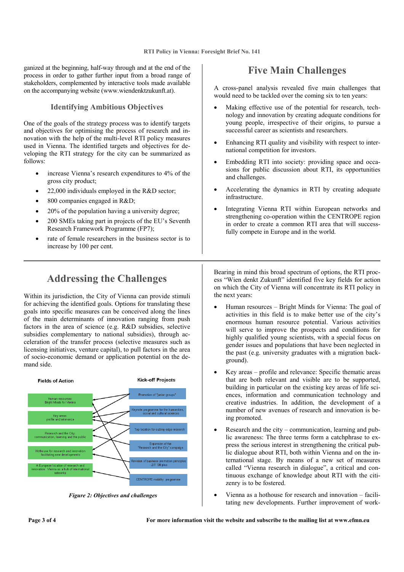ganized at the beginning, half-way through and at the end of the process in order to gather further input from a broad range of stakeholders, complemented by interactive tools made available on the accompanying website (www.wiendenktzukunft.at).

#### **Identifying Ambitious Objectives**

One of the goals of the strategy process was to identify targets and objectives for optimising the process of research and innovation with the help of the multi-level RTI policy measures used in Vienna. The identified targets and objectives for developing the RTI strategy for the city can be summarized as follows:

- increase Vienna's research expenditures to 4% of the gross city product;
- $22,000$  individuals employed in the R&D sector;
- 800 companies engaged in R&D;
- 20% of the population having a university degree;
- 200 SMEs taking part in projects of the EU's Seventh Research Framework Programme (FP7);
- rate of female researchers in the business sector is to increase by 100 per cent.

### **Five Main Challenges**

A cross-panel analysis revealed five main challenges that would need to be tackled over the coming six to ten years:

- Making effective use of the potential for research, technology and innovation by creating adequate conditions for young people, irrespective of their origins, to pursue a successful career as scientists and researchers.
- Enhancing RTI quality and visibility with respect to international competition for investors.
- Embedding RTI into society: providing space and occasions for public discussion about RTI, its opportunities and challenges.
- Accelerating the dynamics in RTI by creating adequate infrastructure.
- Integrating Vienna RTI within European networks and strengthening co-operation within the CENTROPE region in order to create a common RTI area that will successfully compete in Europe and in the world.

# **Addressing the Challenges**

Within its jurisdiction, the City of Vienna can provide stimuli for achieving the identified goals. Options for translating these goals into specific measures can be conceived along the lines of the main determinants of innovation ranging from push factors in the area of science (e.g. R&D subsidies, selective subsidies complementary to national subsidies), through acceleration of the transfer process (selective measures such as licensing initiatives, venture capital), to pull factors in the area of socio-economic demand or application potential on the demand side.



*Figure 2: Objectives and challenges* 

Bearing in mind this broad spectrum of options, the RTI process "Wien denkt Zukunft" identified five key fields for action on which the City of Vienna will concentrate its RTI policy in the next years:

- Human resources Bright Minds for Vienna: The goal of activities in this field is to make better use of the city's enormous human resource potential. Various activities will serve to improve the prospects and conditions for highly qualified young scientists, with a special focus on gender issues and populations that have been neglected in the past (e.g. university graduates with a migration background).
- Key areas profile and relevance: Specific thematic areas that are both relevant and visible are to be supported, building in particular on the existing key areas of life sciences, information and communication technology and creative industries. In addition, the development of a number of new avenues of research and innovation is being promoted.
- Research and the city communication, learning and public awareness: The three terms form a catchphrase to express the serious interest in strengthening the critical public dialogue about RTI, both within Vienna and on the international stage. By means of a new set of measures called "Vienna research in dialogue", a critical and continuous exchange of knowledge about RTI with the citizenry is to be fostered.
- Vienna as a hothouse for research and innovation facilitating new developments. Further improvement of work-